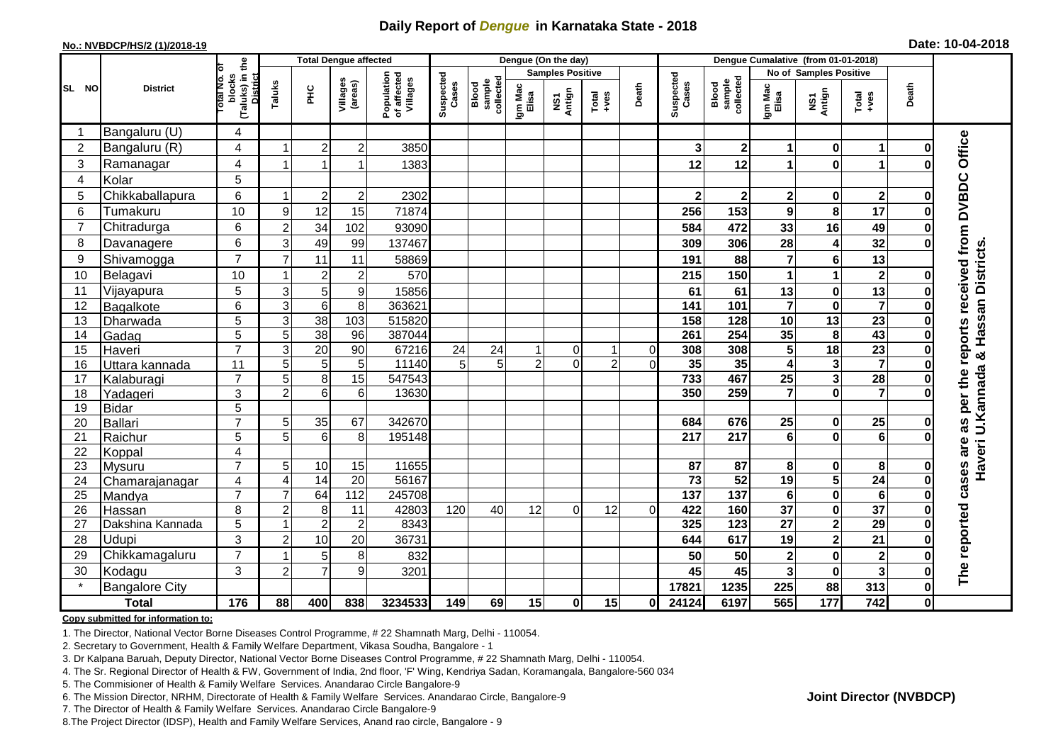## **Daily Report of** *Dengue* **in Karnataka State - 2018**

#### **No.: NVBDCP/HS/2 (1)/2018-19**

| Date: 10-04-2018 |  |  |  |  |  |
|------------------|--|--|--|--|--|
|------------------|--|--|--|--|--|

|                |                       |                                                    |                  | <b>Total Dengue affected</b> |                     |                                       | Dengue (On the day) |                              |                  |                         |                                                              |                |                    | Dengue Cumalative (from 01-01-2018) |                      |                         |                         |              |                                                              |
|----------------|-----------------------|----------------------------------------------------|------------------|------------------------------|---------------------|---------------------------------------|---------------------|------------------------------|------------------|-------------------------|--------------------------------------------------------------|----------------|--------------------|-------------------------------------|----------------------|-------------------------|-------------------------|--------------|--------------------------------------------------------------|
|                |                       | ৳                                                  |                  |                              |                     |                                       |                     |                              |                  | <b>Samples Positive</b> |                                                              |                |                    |                                     |                      | No of Samples Positive  |                         |              |                                                              |
| <b>SL NO</b>   | <b>District</b>       | (Taluks) in the<br>District<br>blocks<br>Total No. | Taluks           | ΞÉ                           | Villages<br>(areas) | Population<br>of affected<br>Villages | Suspected<br>Cases  | sample<br>collected<br>Blood | Igm Mac<br>Elisa | NS1<br>Antign           | $\begin{array}{c}\n\text{Total} \\ \text{Area}\n\end{array}$ | Death          | Suspected<br>Cases | collected<br><b>Blood</b><br>sample | Igm Mac<br>Elisa     | NS1<br>Antign           | Total<br>+ves           | Death        |                                                              |
| -1             | Bangaluru (U)         | 4                                                  |                  |                              |                     |                                       |                     |                              |                  |                         |                                                              |                |                    |                                     |                      |                         |                         |              |                                                              |
| $\overline{2}$ | Bangaluru (R)         | 4                                                  |                  | $\overline{2}$               | $\mathbf 2$         | 3850                                  |                     |                              |                  |                         |                                                              |                | 3                  | $\mathbf 2$                         | 1                    | $\bf{0}$                | $\blacktriangleleft$    | O            |                                                              |
| 3              | Ramanagar             | 4                                                  |                  |                              | 1                   | 1383                                  |                     |                              |                  |                         |                                                              |                | 12                 | 12                                  | $\blacktriangleleft$ | $\mathbf 0$             | 1                       |              | Office                                                       |
| 4              | Kolar                 | 5                                                  |                  |                              |                     |                                       |                     |                              |                  |                         |                                                              |                |                    |                                     |                      |                         |                         |              |                                                              |
| 5              | Chikkaballapura       | 6                                                  | -1               | $\overline{2}$               | $\mathbf 2$         | 2302                                  |                     |                              |                  |                         |                                                              |                | $\mathbf{2}$       | $\mathbf 2$                         | $\mathbf 2$          | 0                       | $\mathbf{2}$            | 0            |                                                              |
| 6              | Tumakuru              | 10                                                 | $\boldsymbol{9}$ | 12                           | 15                  | 71874                                 |                     |                              |                  |                         |                                                              |                | 256                | 153                                 | 9                    | 8                       | 17                      | Ω            |                                                              |
| $\overline{7}$ | Chitradurga           | 6                                                  | $\overline{c}$   | 34                           | 102                 | 93090                                 |                     |                              |                  |                         |                                                              |                | 584                | 472                                 | 33                   | 16                      | 49                      | 0            |                                                              |
| 8              | Davanagere            | 6                                                  | 3                | 49                           | 99                  | 137467                                |                     |                              |                  |                         |                                                              |                | 309                | 306                                 | 28                   | 4                       | 32                      | በ            |                                                              |
| 9              | Shivamogga            | $\overline{7}$                                     | $\overline{7}$   | 11                           | 11                  | 58869                                 |                     |                              |                  |                         |                                                              |                | 191                | 88                                  | $\overline{7}$       | 6                       | 13                      |              |                                                              |
| 10             | Belagavi              | 10                                                 |                  | $\overline{2}$               | $\overline{c}$      | 570                                   |                     |                              |                  |                         |                                                              |                | 215                | 150                                 | 1                    | 1                       | $\mathbf 2$             | Ω            | as per the reports received from DVBDC<br>& Hassan Districts |
| 11             | Vijayapura            | 5                                                  | $\mathsf 3$      | $\overline{5}$               | 9                   | 15856                                 |                     |                              |                  |                         |                                                              |                | 61                 | 61                                  | 13                   | $\pmb{0}$               | $\overline{13}$         |              |                                                              |
| 12             | Bagalkote             | 6                                                  | $\overline{3}$   | $\overline{6}$               | $\overline{8}$      | 363621                                |                     |                              |                  |                         |                                                              |                | $\overline{141}$   | 101                                 | $\overline{7}$       | $\overline{\mathbf{0}}$ | $\overline{\mathbf{7}}$ | $\bf{0}$     |                                                              |
| 13             | Dharwada              | 5                                                  | 3                | 38                           | $\frac{103}{2}$     | 515820                                |                     |                              |                  |                         |                                                              |                | 158                | 128                                 | 10                   | $\overline{13}$         | $\overline{23}$         |              |                                                              |
| 14             | Gadag                 | 5                                                  | 5                | 38                           | 96                  | 387044                                |                     |                              |                  |                         |                                                              |                | 261                | 254                                 | 35                   | 8                       | 43                      |              |                                                              |
| 15             | Haveri                | $\overline{7}$                                     | 3                | $\overline{20}$              | 90                  | 67216                                 | 24                  | 24                           |                  | 0                       | 1                                                            | $\overline{0}$ | 308                | 308                                 | 5                    | $\overline{18}$         | $\overline{23}$         | Ω            |                                                              |
| 16             | Uttara kannada        | 11                                                 | 5                | 5                            | 5                   | 11140                                 | 5 <sup>1</sup>      | 5 <sup>1</sup>               | $\overline{2}$   | $\Omega$                | $\overline{2}$                                               | $\Omega$       | 35                 | 35                                  | 4                    | $\mathbf{3}$            | $\overline{\mathbf{7}}$ |              |                                                              |
| 17             | Kalaburagi            | $\overline{7}$                                     | 5                | 8                            | $\overline{15}$     | 547543                                |                     |                              |                  |                         |                                                              |                | 733                | 467                                 | $\overline{25}$      | $\overline{\mathbf{3}}$ | 28                      |              |                                                              |
| 18             | Yadageri              | 3                                                  | $\overline{2}$   | 6                            | 6                   | 13630                                 |                     |                              |                  |                         |                                                              |                | 350                | 259                                 | 7                    | $\mathbf 0$             | $\overline{\mathbf{z}}$ |              | Haveri U.Kannada                                             |
| 19             | <b>Bidar</b>          | 5                                                  |                  |                              |                     |                                       |                     |                              |                  |                         |                                                              |                |                    |                                     |                      |                         |                         |              |                                                              |
| 20             | <b>Ballari</b>        | $\overline{7}$                                     | 5                | 35                           | 67                  | 342670                                |                     |                              |                  |                         |                                                              |                | 684                | 676                                 | 25                   | 0                       | $\overline{25}$         |              |                                                              |
| 21             | Raichur               | 5                                                  | 5                | 6                            | 8                   | 195148                                |                     |                              |                  |                         |                                                              |                | 217                | 217                                 | 6                    | $\bf{0}$                | $\overline{6}$          |              |                                                              |
| 22             | Koppal                | 4                                                  |                  |                              |                     |                                       |                     |                              |                  |                         |                                                              |                |                    |                                     |                      |                         |                         |              |                                                              |
| 23             | Mysuru                | $\overline{7}$                                     | 5                | 10                           | 15                  | 11655                                 |                     |                              |                  |                         |                                                              |                | 87                 | 87                                  | 8                    | 0                       | 8                       |              |                                                              |
| 24             | Chamarajanagar        | $\overline{4}$                                     | $\overline{4}$   | 14                           | $\overline{20}$     | 56167                                 |                     |                              |                  |                         |                                                              |                | $\overline{73}$    | 52                                  | $\overline{19}$      | $\overline{\mathbf{5}}$ | 24                      | 0            | cases are                                                    |
| 25             | Mandya                | $\overline{7}$                                     | $\overline{7}$   | 64                           | 112                 | 245708                                |                     |                              |                  |                         |                                                              |                | 137                | $\overline{137}$                    | $\bf 6$              | $\pmb{0}$               | $6\phantom{1}6$         |              |                                                              |
| 26             | Hassan                | 8                                                  | $\overline{2}$   | 8                            | 11                  | 42803                                 | 120                 | 40                           | 12               | $\Omega$                | 12                                                           | $\Omega$       | 422                | 160                                 | 37                   | $\pmb{0}$               | 37                      | $\bf{0}$     |                                                              |
| 27             | Dakshina Kannada      | 5                                                  | 1                | $\overline{2}$               | $\overline{2}$      | 8343                                  |                     |                              |                  |                         |                                                              |                | 325                | $\overline{123}$                    | $\overline{27}$      | $\overline{2}$          | 29                      | $\bf{0}$     |                                                              |
| 28             | Udupi                 | 3                                                  | $\overline{2}$   | 10                           | 20                  | 36731                                 |                     |                              |                  |                         |                                                              |                | 644                | 617                                 | 19                   | $\mathbf{2}$            | $\overline{21}$         |              |                                                              |
| 29             | Chikkamagaluru        | $\overline{7}$                                     |                  | 5                            | 8                   | 832                                   |                     |                              |                  |                         |                                                              |                | 50                 | 50                                  | $\mathbf 2$          | $\pmb{0}$               | $\overline{\mathbf{2}}$ |              | The reported                                                 |
| 30             | Kodagu                | 3                                                  | $\overline{c}$   | $\overline{7}$               | 9                   | 3201                                  |                     |                              |                  |                         |                                                              |                | 45                 | 45                                  | 3                    | $\pmb{0}$               | 3                       | 0            |                                                              |
|                | <b>Bangalore City</b> |                                                    |                  |                              |                     |                                       |                     |                              |                  |                         |                                                              |                | 17821              | 1235                                | 225                  | 88                      | 313                     | $\mathbf{0}$ |                                                              |
|                | <b>Total</b>          | 176                                                | 88               | 400                          | 838                 | 3234533                               | 149                 | 69                           | 15               | 0                       | 15                                                           | 0I             | 24124              | 6197                                | 565                  | $\frac{1}{177}$         | 742                     | $\mathbf{0}$ |                                                              |

#### **Copy submitted for information to:**

1. The Director, National Vector Borne Diseases Control Programme, # 22 Shamnath Marg, Delhi - 110054.

2. Secretary to Government, Health & Family Welfare Department, Vikasa Soudha, Bangalore - 1

3. Dr Kalpana Baruah, Deputy Director, National Vector Borne Diseases Control Programme, # 22 Shamnath Marg, Delhi - 110054.

- 4. The Sr. Regional Director of Health & FW, Government of India, 2nd floor, 'F' Wing, Kendriya Sadan, Koramangala, Bangalore-560 034
- 5. The Commisioner of Health & Family Welfare Services. Anandarao Circle Bangalore-9
- 6. The Mission Director, NRHM, Directorate of Health & Family Welfare Services. Anandarao Circle, Bangalore-9
- 7. The Director of Health & Family Welfare Services. Anandarao Circle Bangalore-9
- 8. The Project Director (IDSP), Health and Family Welfare Services, Anand rao circle, Bangalore 9